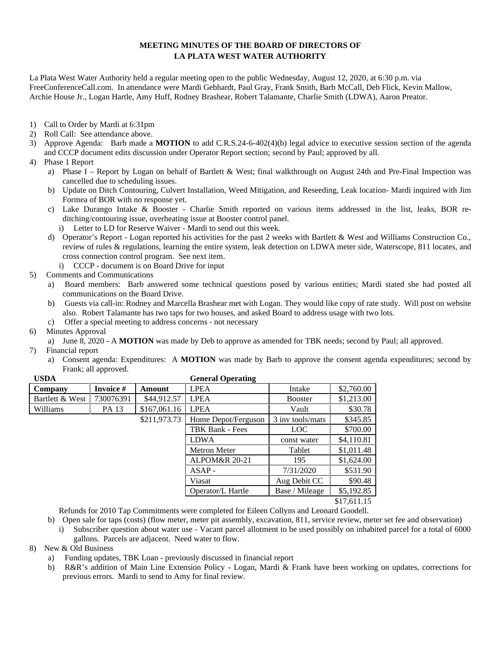## **MEETING MINUTES OF THE BOARD OF DIRECTORS OF LA PLATA WEST WATER AUTHORITY**

La Plata West Water Authority held a regular meeting open to the public Wednesday, August 12, 2020, at 6:30 p.m. via FreeConferenceCall.com. In attendance were Mardi Gebhardt, Paul Gray, Frank Smith, Barb McCall, Deb Flick, Kevin Mallow, Archie House Jr., Logan Hartle, Amy Huff, Rodney Brashear, Robert Talamante, Charlie Smith (LDWA), Aaron Preator.

- 1) Call to Order by Mardi at 6:31pm
- 2) Roll Call: See attendance above.
- 3) Approve Agenda: Barb made a **MOTION** to add C.R.S.24-6-402(4)(b) legal advice to executive session section of the agenda and CCCP document edits discussion under Operator Report section; second by Paul; approved by all.

## 4) Phase 1 Report

- a) Phase I Report by Logan on behalf of Bartlett & West; final walkthrough on August 24th and Pre-Final Inspection was cancelled due to scheduling issues.
- b) Update on Ditch Contouring, Culvert Installation, Weed Mitigation, and Reseeding, Leak location- Mardi inquired with Jim Formea of BOR with no response yet.
- c) Lake Durango Intake & Booster Charlie Smith reported on various items addressed in the list, leaks, BOR re ditching/contouring issue, overheating issue at Booster control panel.
	- i) Letter to LD for Reserve Waiver Mardi to send out this week.
- d) Operator's Report Logan reported his activities for the past 2 weeks with Bartlett & West and Williams Construction Co., review of rules & regulations, learning the entire system, leak detection on LDWA meter side, Waterscope, 811 locates, and cross connection control program. See next item.
	- i) CCCP document is on Board Drive for input
- 5) Comments and Communications
	- a) Board members: Barb answered some technical questions posed by various entities; Mardi stated she had posted all communications on the Board Drive.
	- b) Guests via call-in: Rodney and Marcella Brashear met with Logan. They would like copy of rate study. Will post on website also. Robert Talamante has two taps for two houses, and asked Board to address usage with two lots.
	- c) Offer a special meeting to address concerns not necessary
- 6) Minutes Approval
	- a) June 8, 2020 A **MOTION** was made by Deb to approve as amended for TBK needs; second by Paul; all approved.
- 7) Financial report
	- a) Consent agenda: Expenditures: A **MOTION** was made by Barb to approve the consent agenda expenditures; second by Frank; all approved.

| <b>USDA</b>     |           |              | <b>General Operating</b> |                  |             |
|-----------------|-----------|--------------|--------------------------|------------------|-------------|
| Company         | Invoice # | Amount       | <b>LPEA</b>              | Intake           | \$2,760.00  |
| Bartlett & West | 730076391 | \$44,912.57  | <b>LPEA</b>              | <b>Booster</b>   | \$1,213.00  |
| Williams        | PA 13     | \$167,061.16 | <b>LPEA</b>              | Vault            | \$30.78     |
|                 |           | \$211,973.73 | Home Depot/Ferguson      | 3 inv tools/mats | \$345.85    |
|                 |           |              | TBK Bank - Fees          | LOC.             | \$700.00    |
|                 |           |              | <b>LDWA</b>              | const water      | \$4,110.81  |
|                 |           |              | <b>Metron Meter</b>      | Tablet           | \$1,011.48  |
|                 |           |              | <b>ALPOM&amp;R 20-21</b> | 195              | \$1,624.00  |
|                 |           |              | $ASAP -$                 | 7/31/2020        | \$531.90    |
|                 |           |              | Viasat                   | Aug Debit CC     | \$90.48     |
|                 |           |              | Operator/L Hartle        | Base / Mileage   | \$5,192.85  |
|                 |           |              |                          |                  | \$17,611.15 |

Refunds for 2010 Tap Commitments were completed for Eileen Collyns and Leonard Goodell.

- b) Open sale for taps (costs) (flow meter, meter pit assembly, excavation, 811, service review, meter set fee and observation) i) Subscriber question about water use - Vacant parcel allotment to be used possibly on inhabited parcel for a total of 6000
- gallons. Parcels are adjacent. Need water to flow.
- 8) New & Old Business
	- a) Funding updates, TBK Loan previously discussed in financial report
	- b) R&R's addition of Main Line Extension Policy Logan, Mardi & Frank have been working on updates, corrections for previous errors. Mardi to send to Amy for final review.